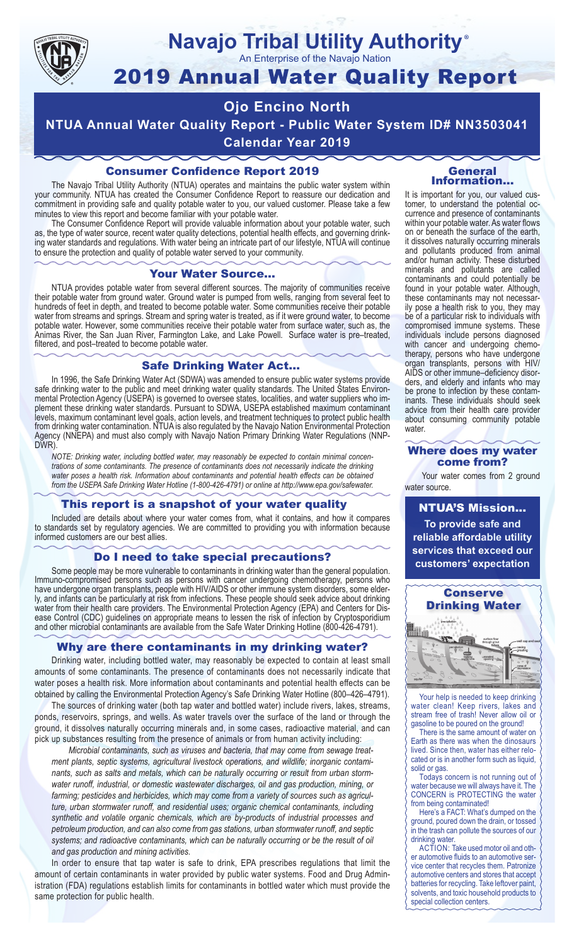

# **Navajo Tribal Utility Authority**

An Enterprise of the Navajo Nation

## 2019 Annual Water Quality Report

## **Ojo Encino North**

**NTUA Annual Water Quality Report - Public Water System ID# NN3503041 Calendar Year 2019**

#### Consumer Confidence Report 2019

The Navajo Tribal Utility Authority (NTUA) operates and maintains the public water system within your community. NTUA has created the Consumer Confidence Report to reassure our dedication and commitment in providing safe and quality potable water to you, our valued customer. Please take a few minutes to view this report and become familiar with your potable water.

The Consumer Confidence Report will provide valuable information about your potable water, such as, the type of water source, recent water quality detections, potential health effects, and governing drinking water standards and regulations. With water being an intricate part of our lifestyle, NTUA will continue to ensure the protection and quality of potable water served to your community.

#### Your Water Source…

NTUA provides potable water from several different sources. The majority of communities receive their potable water from ground water. Ground water is pumped from wells, ranging from several feet to hundreds of feet in depth, and treated to become potable water. Some communities receive their potable water from streams and springs. Stream and spring water is treated, as if it were ground water, to become potable water. However, some communities receive their potable water from surface water, such as, the Animas River, the San Juan River, Farmington Lake, and Lake Powell. Surface water is pre–treated, filtered, and post–treated to become potable water.

#### Safe Drinking Water Act…

In 1996, the Safe Drinking Water Act (SDWA) was amended to ensure public water systems provide safe drinking water to the public and meet drinking water quality standards. The United States Environmental Protection Agency (USEPA) is governed to oversee states, localities, and water suppliers who implement these drinking water standards. Pursuant to SDWA, USEPA established maximum contaminant levels, maximum contaminant level goals, action levels, and treatment techniques to protect public health from drinking water contamination. NTUA is also regulated by the Navajo Nation Environmental Protection Agency (NNEPA) and must also comply with Navajo Nation Primary Drinking Water Regulations (NNP-DWR)

*NOTE: Drinking water, including bottled water, may reasonably be expected to contain minimal concentrations of some contaminants. The presence of contaminants does not necessarily indicate the drinking water poses a health risk. Information about contaminants and potential health effects can be obtained from the USEPA Safe Drinking Water Hotline (1-800-426-4791) or online at http://www.epa.gov/safewater.*

#### This report is a snapshot of your water quality

Included are details about where your water comes from, what it contains, and how it compares to standards set by regulatory agencies. We are committed to providing you with information because informed customers are our best allies.

#### Do I need to take special precautions?

Some people may be more vulnerable to contaminants in drinking water than the general population. Immuno-compromised persons such as persons with cancer undergoing chemotherapy, persons who have undergone organ transplants, people with HIV/AIDS or other immune system disorders, some elderly, and infants can be particularly at risk from infections. These people should seek advice about drinking water from their health care providers. The Environmental Protection Agency (EPA) and Centers for Disease Control (CDC) guidelines on appropriate means to lessen the risk of infection by Cryptosporidium and other microbial contaminants are available from the Safe Water Drinking Hotline (800-426-4791).

#### Why are there contaminants in my drinking water?

Drinking water, including bottled water, may reasonably be expected to contain at least small amounts of some contaminants. The presence of contaminants does not necessarily indicate that water poses a health risk. More information about contaminants and potential health effects can be obtained by calling the Environmental Protection Agency's Safe Drinking Water Hotline (800–426–4791).

The sources of drinking water (both tap water and bottled water) include rivers, lakes, streams, ponds, reservoirs, springs, and wells. As water travels over the surface of the land or through the ground, it dissolves naturally occurring minerals and, in some cases, radioactive material, and can pick up substances resulting from the presence of animals or from human activity including:

*Microbial contaminants, such as viruses and bacteria, that may come from sewage treatment plants, septic systems, agricultural livestock operations, and wildlife; inorganic contaminants, such as salts and metals, which can be naturally occurring or result from urban stormwater runoff, industrial, or domestic wastewater discharges, oil and gas production, mining, or farming; pesticides and herbicides, which may come from a variety of sources such as agriculture, urban stormwater runoff, and residential uses; organic chemical contaminants, including synthetic and volatile organic chemicals, which are by-products of industrial processes and petroleum production, and can also come from gas stations, urban stormwater runoff, and septic systems; and radioactive contaminants, which can be naturally occurring or be the result of oil and gas production and mining activities.*

In order to ensure that tap water is safe to drink, EPA prescribes regulations that limit the amount of certain contaminants in water provided by public water systems. Food and Drug Administration (FDA) regulations establish limits for contaminants in bottled water which must provide the same protection for public health.

#### General Information…

®

It is important for you, our valued customer, to understand the potential occurrence and presence of contaminants within your potable water. As water flows on or beneath the surface of the earth, it dissolves naturally occurring minerals and pollutants produced from animal and/or human activity. These disturbed minerals and pollutants are called contaminants and could potentially be found in your potable water. Although, these contaminants may not necessarily pose a health risk to you, they may be of a particular risk to individuals with compromised immune systems. These individuals include persons diagnosed with cancer and undergoing chemo-<br>therapy, persons who have undergone organ transplants, persons with HIV/ AIDS or other immune–deficiency disor- ders, and elderly and infants who may be prone to infection by these contam- inants. These individuals should seek advice from their health care provider about consuming community potable water.

#### Where does my water come from?

Your water comes from 2 ground water source.

NTUA'S Mission... **To provide safe and reliable affordable utility services that exceed our customers' expectation**



Your help is needed to keep drinking water clean! Keep rivers, lakes and stream free of trash! Never allow oil or gasoline to be poured on the ground!

There is the same amount of water on Earth as there was when the dinosaurs lived. Since then, water has either relocated or is in another form such as liquid, solid or gas.

Todays concern is not running out of water because we will always have it. The CONCERN is PROTECTING the water from being contaminated!

Here's a FACT: What's dumped on the ground, poured down the drain, or tossed in the trash can pollute the sources of our drinking water.

ACTION: Take used motor oil and other automotive fluids to an automotive service center that recycles them. Patronize automotive centers and stores that accept batteries for recycling. Take leftover paint, solvents, and toxic household products to special collection centers.